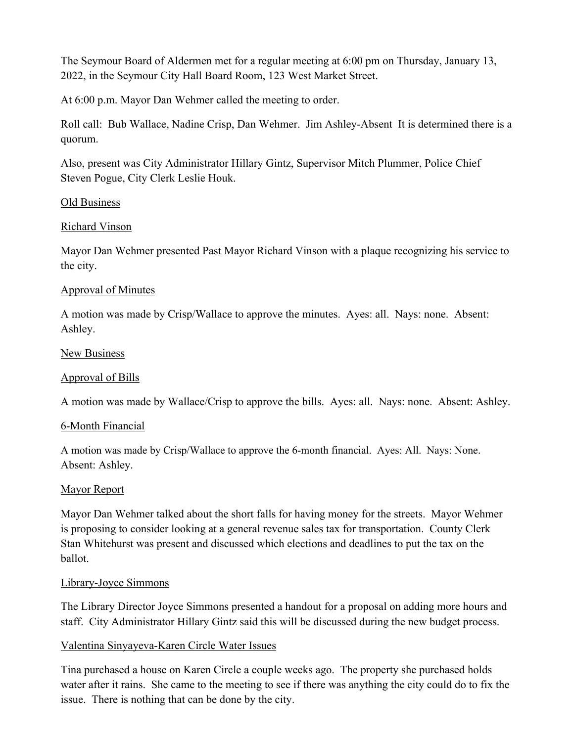The Seymour Board of Aldermen met for a regular meeting at 6:00 pm on Thursday, January 13, 2022, in the Seymour City Hall Board Room, 123 West Market Street.

At 6:00 p.m. Mayor Dan Wehmer called the meeting to order.

Roll call: Bub Wallace, Nadine Crisp, Dan Wehmer. Jim Ashley-Absent It is determined there is a quorum.

Also, present was City Administrator Hillary Gintz, Supervisor Mitch Plummer, Police Chief Steven Pogue, City Clerk Leslie Houk.

## Old Business

## Richard Vinson

Mayor Dan Wehmer presented Past Mayor Richard Vinson with a plaque recognizing his service to the city.

## Approval of Minutes

A motion was made by Crisp/Wallace to approve the minutes. Ayes: all. Nays: none. Absent: Ashley.

## New Business

## Approval of Bills

A motion was made by Wallace/Crisp to approve the bills. Ayes: all. Nays: none. Absent: Ashley.

## 6-Month Financial

A motion was made by Crisp/Wallace to approve the 6-month financial. Ayes: All. Nays: None. Absent: Ashley.

## Mayor Report

Mayor Dan Wehmer talked about the short falls for having money for the streets. Mayor Wehmer is proposing to consider looking at a general revenue sales tax for transportation. County Clerk Stan Whitehurst was present and discussed which elections and deadlines to put the tax on the ballot.

## Library-Joyce Simmons

The Library Director Joyce Simmons presented a handout for a proposal on adding more hours and staff. City Administrator Hillary Gintz said this will be discussed during the new budget process.

## Valentina Sinyayeva-Karen Circle Water Issues

Tina purchased a house on Karen Circle a couple weeks ago. The property she purchased holds water after it rains. She came to the meeting to see if there was anything the city could do to fix the issue. There is nothing that can be done by the city.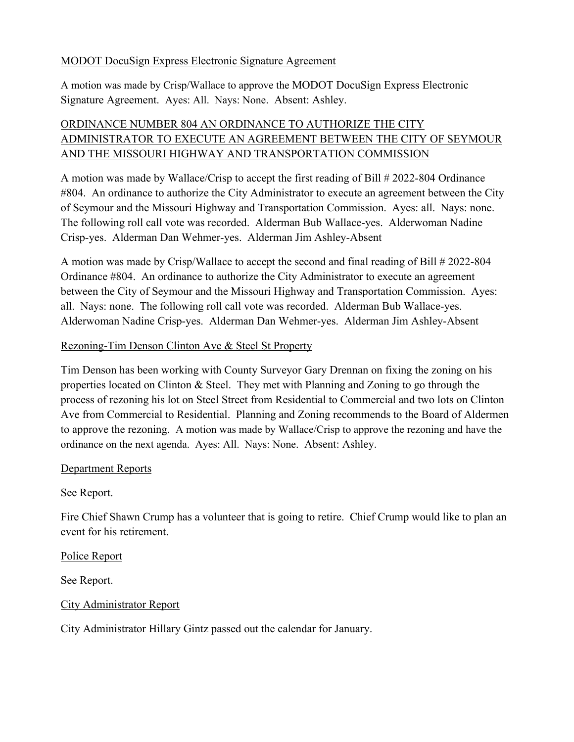### MODOT DocuSign Express Electronic Signature Agreement

A motion was made by Crisp/Wallace to approve the MODOT DocuSign Express Electronic Signature Agreement. Ayes: All. Nays: None. Absent: Ashley.

# ORDINANCE NUMBER 804 AN ORDINANCE TO AUTHORIZE THE CITY ADMINISTRATOR TO EXECUTE AN AGREEMENT BETWEEN THE CITY OF SEYMOUR AND THE MISSOURI HIGHWAY AND TRANSPORTATION COMMISSION

A motion was made by Wallace/Crisp to accept the first reading of Bill # 2022-804 Ordinance #804. An ordinance to authorize the City Administrator to execute an agreement between the City of Seymour and the Missouri Highway and Transportation Commission. Ayes: all. Nays: none. The following roll call vote was recorded. Alderman Bub Wallace-yes. Alderwoman Nadine Crisp-yes. Alderman Dan Wehmer-yes. Alderman Jim Ashley-Absent

A motion was made by Crisp/Wallace to accept the second and final reading of Bill # 2022-804 Ordinance #804. An ordinance to authorize the City Administrator to execute an agreement between the City of Seymour and the Missouri Highway and Transportation Commission. Ayes: all. Nays: none. The following roll call vote was recorded. Alderman Bub Wallace-yes. Alderwoman Nadine Crisp-yes. Alderman Dan Wehmer-yes. Alderman Jim Ashley-Absent

#### Rezoning-Tim Denson Clinton Ave & Steel St Property

Tim Denson has been working with County Surveyor Gary Drennan on fixing the zoning on his properties located on Clinton & Steel. They met with Planning and Zoning to go through the process of rezoning his lot on Steel Street from Residential to Commercial and two lots on Clinton Ave from Commercial to Residential. Planning and Zoning recommends to the Board of Aldermen to approve the rezoning. A motion was made by Wallace/Crisp to approve the rezoning and have the ordinance on the next agenda. Ayes: All. Nays: None. Absent: Ashley.

## Department Reports

## See Report.

Fire Chief Shawn Crump has a volunteer that is going to retire. Chief Crump would like to plan an event for his retirement.

## Police Report

See Report.

## City Administrator Report

City Administrator Hillary Gintz passed out the calendar for January.